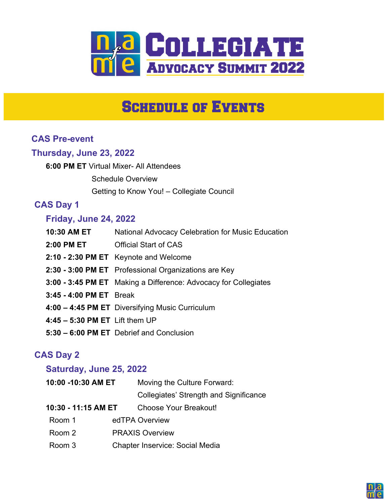

# **SCHEDULE OF EVENTS**

## CAS Pre-event

#### Thursday, June 23, 2022

6:00 PM ET Virtual Mixer- All Attendees Schedule Overview Getting to Know You! – Collegiate Council

## CAS Day 1

#### Friday, June 24, 2022

| 10:30 AM ET                      | National Advocacy Celebration for Music Education               |
|----------------------------------|-----------------------------------------------------------------|
|                                  | <b>2:00 PM ET Official Start of CAS</b>                         |
|                                  | 2:10 - 2:30 PM ET Keynote and Welcome                           |
|                                  | 2:30 - 3:00 PM ET Professional Organizations are Key            |
|                                  | 3:00 - 3:45 PM ET Making a Difference: Advocacy for Collegiates |
| 3:45 - 4:00 PM ET Break          |                                                                 |
|                                  | 4:00 - 4:45 PM ET Diversifying Music Curriculum                 |
| $4:45 - 5:30$ PM ET Lift them UP |                                                                 |
|                                  | 5:30 - 6:00 PM ET Debrief and Conclusion                        |

## CAS Day 2

#### Saturday, June 25, 2022

| 10:00 -10:30 AM ET  |  | Moving the Culture Forward:            |  |
|---------------------|--|----------------------------------------|--|
|                     |  | Collegiates' Strength and Significance |  |
| 10:30 - 11:15 AM ET |  | Choose Your Breakout!                  |  |
| Room 1              |  | edTPA Overview                         |  |
| Room 2              |  | <b>PRAXIS Overview</b>                 |  |
| Room 3              |  | <b>Chapter Inservice: Social Media</b> |  |